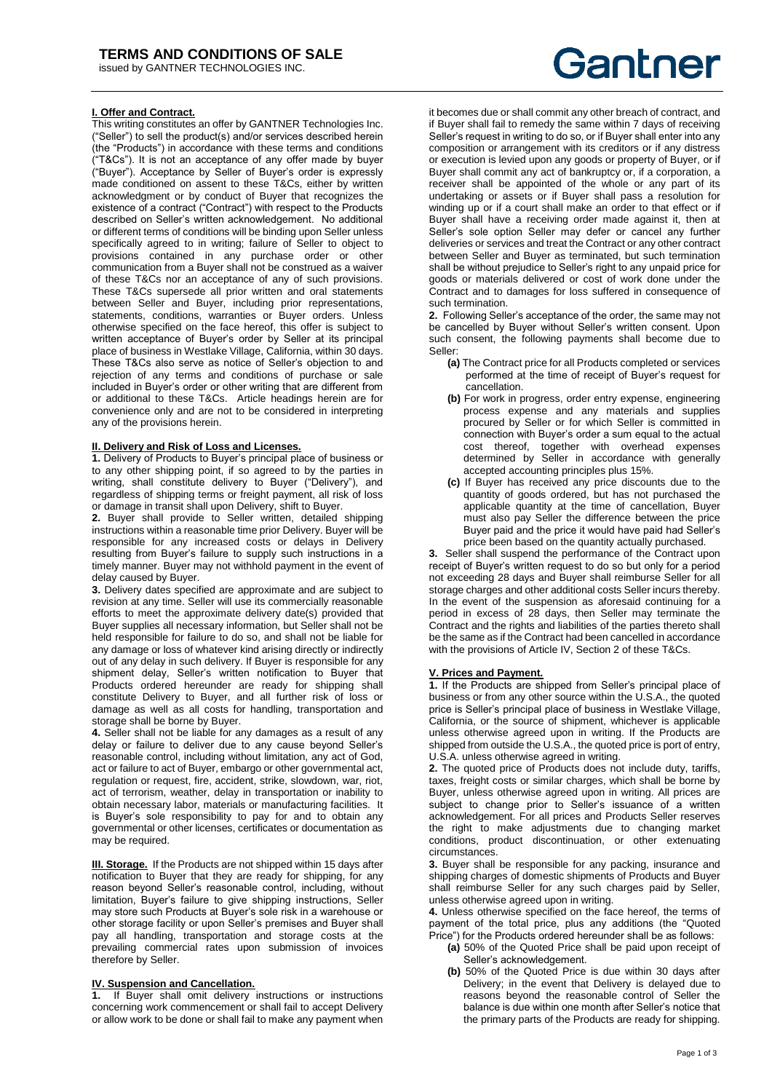# **I. Offer and Contract.**

**This writing constitutes an offer by GANTNER Technologies Inc.** ("Seller") to sell the product(s) and/or services described herein (the "Products") in accordance with these terms and conditions ("T&Cs"). It is not an acceptance of any offer made by buyer ("Buyer"). Acceptance by Seller of Buyer's order is expressly made conditioned on assent to these T&Cs, either by written acknowledgment or by conduct of Buyer that recognizes the existence of a contract ("Contract") with respect to the Products described on Seller's written acknowledgement. No additional or different terms of conditions will be binding upon Seller unless specifically agreed to in writing; failure of Seller to object to provisions contained in any purchase order or other communication from a Buyer shall not be construed as a waiver of these T&Cs nor an acceptance of any of such provisions. These T&Cs supersede all prior written and oral statements between Seller and Buyer, including prior representations, statements, conditions, warranties or Buyer orders. Unless otherwise specified on the face hereof, this offer is subject to written acceptance of Buyer's order by Seller at its principal place of business in Westlake Village, California, within 30 days. These T&Cs also serve as notice of Seller's objection to and rejection of any terms and conditions of purchase or sale included in Buyer's order or other writing that are different from or additional to these T&Cs. Article headings herein are for convenience only and are not to be considered in interpreting any of the provisions herein.

## **II. Delivery and Risk of Loss and Licenses.**

**1.** Delivery of Products to Buyer's principal place of business or to any other shipping point, if so agreed to by the parties in writing, shall constitute delivery to Buyer ("Delivery"), and regardless of shipping terms or freight payment, all risk of loss or damage in transit shall upon Delivery, shift to Buyer.

**2.** Buyer shall provide to Seller written, detailed shipping instructions within a reasonable time prior Delivery. Buyer will be responsible for any increased costs or delays in Delivery resulting from Buyer's failure to supply such instructions in a timely manner. Buyer may not withhold payment in the event of delay caused by Buyer.

**3.** Delivery dates specified are approximate and are subject to revision at any time. Seller will use its commercially reasonable efforts to meet the approximate delivery date(s) provided that Buyer supplies all necessary information, but Seller shall not be held responsible for failure to do so, and shall not be liable for any damage or loss of whatever kind arising directly or indirectly out of any delay in such delivery. If Buyer is responsible for any shipment delay, Seller's written notification to Buyer that Products ordered hereunder are ready for shipping shall constitute Delivery to Buyer, and all further risk of loss or damage as well as all costs for handling, transportation and storage shall be borne by Buyer.

**4.** Seller shall not be liable for any damages as a result of any delay or failure to deliver due to any cause beyond Seller's reasonable control, including without limitation, any act of God, act or failure to act of Buyer, embargo or other governmental act, regulation or request, fire, accident, strike, slowdown, war, riot, act of terrorism, weather, delay in transportation or inability to obtain necessary labor, materials or manufacturing facilities. It is Buyer's sole responsibility to pay for and to obtain any governmental or other licenses, certificates or documentation as may be required.

**III. Storage.** If the Products are not shipped within 15 days after notification to Buyer that they are ready for shipping, for any reason beyond Seller's reasonable control, including, without limitation, Buyer's failure to give shipping instructions, Seller may store such Products at Buyer's sole risk in a warehouse or other storage facility or upon Seller's premises and Buyer shall pay all handling, transportation and storage costs at the prevailing commercial rates upon submission of invoices therefore by Seller.

## **IV. Suspension and Cancellation.**

**1.** If Buyer shall omit delivery instructions or instructions concerning work commencement or shall fail to accept Delivery or allow work to be done or shall fail to make any payment when

# Gantner

it becomes due or shall commit any other breach of contract, and if Buyer shall fail to remedy the same within 7 days of receiving Seller's request in writing to do so, or if Buyer shall enter into any composition or arrangement with its creditors or if any distress or execution is levied upon any goods or property of Buyer, or if Buyer shall commit any act of bankruptcy or, if a corporation, a receiver shall be appointed of the whole or any part of its undertaking or assets or if Buyer shall pass a resolution for winding up or if a court shall make an order to that effect or if Buyer shall have a receiving order made against it, then at Seller's sole option Seller may defer or cancel any further deliveries or services and treat the Contract or any other contract between Seller and Buyer as terminated, but such termination shall be without prejudice to Seller's right to any unpaid price for goods or materials delivered or cost of work done under the Contract and to damages for loss suffered in consequence of such termination.

**2.** Following Seller's acceptance of the order, the same may not be cancelled by Buyer without Seller's written consent. Upon such consent, the following payments shall become due to Seller:

- **(a)** The Contract price for all Products completed or services performed at the time of receipt of Buyer's request for cancellation.
- **(b)** For work in progress, order entry expense, engineering process expense and any materials and supplies procured by Seller or for which Seller is committed in connection with Buyer's order a sum equal to the actual cost thereof, together with overhead expenses determined by Seller in accordance with generally accepted accounting principles plus 15%.
- **(c)** If Buyer has received any price discounts due to the quantity of goods ordered, but has not purchased the applicable quantity at the time of cancellation, Buyer must also pay Seller the difference between the price Buyer paid and the price it would have paid had Seller's price been based on the quantity actually purchased.

**3.** Seller shall suspend the performance of the Contract upon receipt of Buyer's written request to do so but only for a period not exceeding 28 days and Buyer shall reimburse Seller for all storage charges and other additional costs Seller incurs thereby. In the event of the suspension as aforesaid continuing for a period in excess of 28 days, then Seller may terminate the Contract and the rights and liabilities of the parties thereto shall be the same as if the Contract had been cancelled in accordance with the provisions of Article IV, Section 2 of these T&Cs.

# **V. Prices and Payment.**

**1.** If the Products are shipped from Seller's principal place of business or from any other source within the U.S.A., the quoted price is Seller's principal place of business in Westlake Village, California, or the source of shipment, whichever is applicable unless otherwise agreed upon in writing. If the Products are shipped from outside the U.S.A., the quoted price is port of entry, U.S.A. unless otherwise agreed in writing.

**2.** The quoted price of Products does not include duty, tariffs, taxes, freight costs or similar charges, which shall be borne by Buyer, unless otherwise agreed upon in writing. All prices are subject to change prior to Seller's issuance of a written acknowledgement. For all prices and Products Seller reserves the right to make adjustments due to changing market conditions, product discontinuation, or other extenuating circumstances.

**3.** Buyer shall be responsible for any packing, insurance and shipping charges of domestic shipments of Products and Buyer shall reimburse Seller for any such charges paid by Seller, unless otherwise agreed upon in writing.

**4.** Unless otherwise specified on the face hereof, the terms of payment of the total price, plus any additions (the "Quoted Price") for the Products ordered hereunder shall be as follows:

- **(a)** 50% of the Quoted Price shall be paid upon receipt of Seller's acknowledgement.
- **(b)** 50% of the Quoted Price is due within 30 days after Delivery; in the event that Delivery is delayed due to reasons beyond the reasonable control of Seller the balance is due within one month after Seller's notice that the primary parts of the Products are ready for shipping.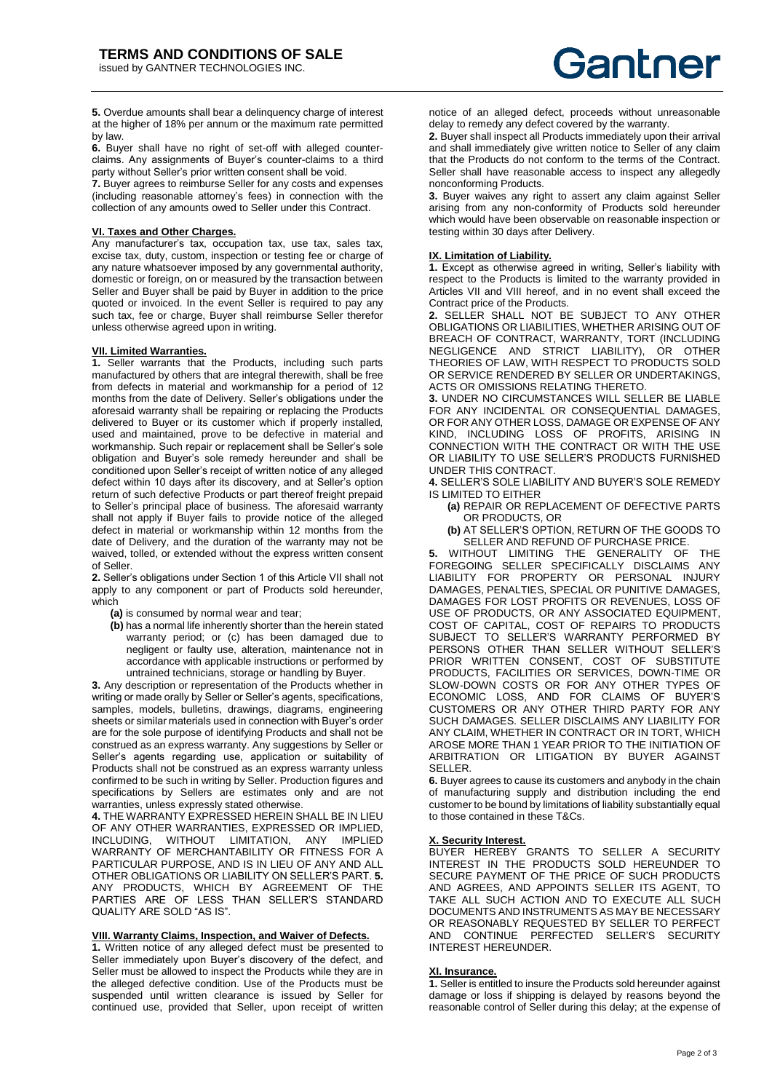**5.** Overdue amounts shall bear a delinquency charge of interest at the higher of 18% per annum or the maximum rate permitted by law.

**6.** Buyer shall have no right of set-off with alleged counterclaims. Any assignments of Buyer's counter-claims to a third party without Seller's prior written consent shall be void.

**7.** Buyer agrees to reimburse Seller for any costs and expenses (including reasonable attorney's fees) in connection with the collection of any amounts owed to Seller under this Contract.

## **VI. Taxes and Other Charges.**

Any manufacturer's tax, occupation tax, use tax, sales tax, excise tax, duty, custom, inspection or testing fee or charge of any nature whatsoever imposed by any governmental authority, domestic or foreign, on or measured by the transaction between Seller and Buyer shall be paid by Buyer in addition to the price quoted or invoiced. In the event Seller is required to pay any such tax, fee or charge, Buyer shall reimburse Seller therefor unless otherwise agreed upon in writing.

#### **VII. Limited Warranties.**

**1.** Seller warrants that the Products, including such parts manufactured by others that are integral therewith, shall be free from defects in material and workmanship for a period of 12 months from the date of Delivery. Seller's obligations under the aforesaid warranty shall be repairing or replacing the Products delivered to Buyer or its customer which if properly installed, used and maintained, prove to be defective in material and workmanship. Such repair or replacement shall be Seller's sole obligation and Buyer's sole remedy hereunder and shall be conditioned upon Seller's receipt of written notice of any alleged defect within 10 days after its discovery, and at Seller's option return of such defective Products or part thereof freight prepaid to Seller's principal place of business. The aforesaid warranty shall not apply if Buyer fails to provide notice of the alleged defect in material or workmanship within 12 months from the date of Delivery, and the duration of the warranty may not be waived, tolled, or extended without the express written consent of Seller.

**2.** Seller's obligations under Section 1 of this Article VII shall not apply to any component or part of Products sold hereunder, which

**(a)** is consumed by normal wear and tear;

**(b)** has a normal life inherently shorter than the herein stated warranty period; or (c) has been damaged due to negligent or faulty use, alteration, maintenance not in accordance with applicable instructions or performed by untrained technicians, storage or handling by Buyer.

**3.** Any description or representation of the Products whether in writing or made orally by Seller or Seller's agents, specifications, samples, models, bulletins, drawings, diagrams, engineering sheets or similar materials used in connection with Buyer's order are for the sole purpose of identifying Products and shall not be construed as an express warranty. Any suggestions by Seller or Seller's agents regarding use, application or suitability of Products shall not be construed as an express warranty unless confirmed to be such in writing by Seller. Production figures and specifications by Sellers are estimates only and are not warranties, unless expressly stated otherwise.

**4.** THE WARRANTY EXPRESSED HEREIN SHALL BE IN LIEU OF ANY OTHER WARRANTIES, EXPRESSED OR IMPLIED, INCLUDING, WITHOUT LIMITATION, ANY IMPLIED WARRANTY OF MERCHANTABILITY OR FITNESS FOR A PARTICULAR PURPOSE, AND IS IN LIEU OF ANY AND ALL OTHER OBLIGATIONS OR LIABILITY ON SELLER'S PART. **5.** ANY PRODUCTS, WHICH BY AGREEMENT OF THE PARTIES ARE OF LESS THAN SELLER'S STANDARD QUALITY ARE SOLD "AS IS".

## **VIII. Warranty Claims, Inspection, and Waiver of Defects.**

1. Written notice of any alleged defect must be presented to Seller immediately upon Buyer's discovery of the defect, and Seller must be allowed to inspect the Products while they are in the alleged defective condition. Use of the Products must be suspended until written clearance is issued by Seller for continued use, provided that Seller, upon receipt of written

notice of an alleged defect, proceeds without unreasonable delay to remedy any defect covered by the warranty.

**2.** Buyer shall inspect all Products immediately upon their arrival and shall immediately give written notice to Seller of any claim that the Products do not conform to the terms of the Contract. Seller shall have reasonable access to inspect any allegedly nonconforming Products.

**3.** Buyer waives any right to assert any claim against Seller arising from any non-conformity of Products sold hereunder which would have been observable on reasonable inspection or testing within 30 days after Delivery.

#### **IX. Limitation of Liability.**

**1.** Except as otherwise agreed in writing, Seller's liability with respect to the Products is limited to the warranty provided in Articles VII and VIII hereof, and in no event shall exceed the Contract price of the Products.

**2.** SELLER SHALL NOT BE SUBJECT TO ANY OTHER OBLIGATIONS OR LIABILITIES, WHETHER ARISING OUT OF BREACH OF CONTRACT, WARRANTY, TORT (INCLUDING NEGLIGENCE AND STRICT LIABILITY), OR OTHER THEORIES OF LAW, WITH RESPECT TO PRODUCTS SOLD OR SERVICE RENDERED BY SELLER OR UNDERTAKINGS, ACTS OR OMISSIONS RELATING THERETO.

**3.** UNDER NO CIRCUMSTANCES WILL SELLER BE LIABLE FOR ANY INCIDENTAL OR CONSEQUENTIAL DAMAGES, OR FOR ANY OTHER LOSS, DAMAGE OR EXPENSE OF ANY KIND, INCLUDING LOSS OF PROFITS, ARISING IN CONNECTION WITH THE CONTRACT OR WITH THE USE OR LIABILITY TO USE SELLER'S PRODUCTS FURNISHED UNDER THIS CONTRACT.

**4.** SELLER'S SOLE LIABILITY AND BUYER'S SOLE REMEDY IS LIMITED TO EITHER

- **(a)** REPAIR OR REPLACEMENT OF DEFECTIVE PARTS OR PRODUCTS, OR
- **(b)** AT SELLER'S OPTION, RETURN OF THE GOODS TO SELLER AND REFUND OF PURCHASE PRICE.

**5.** WITHOUT LIMITING THE GENERALITY OF THE FOREGOING SELLER SPECIFICALLY DISCLAIMS ANY LIABILITY FOR PROPERTY OR PERSONAL INJURY DAMAGES, PENALTIES, SPECIAL OR PUNITIVE DAMAGES, DAMAGES FOR LOST PROFITS OR REVENUES, LOSS OF USE OF PRODUCTS, OR ANY ASSOCIATED EQUIPMENT, COST OF CAPITAL, COST OF REPAIRS TO PRODUCTS SUBJECT TO SELLER'S WARRANTY PERFORMED BY PERSONS OTHER THAN SELLER WITHOUT SELLER'S PRIOR WRITTEN CONSENT, COST OF SUBSTITUTE PRODUCTS, FACILITIES OR SERVICES, DOWN-TIME OR SLOW-DOWN COSTS OR FOR ANY OTHER TYPES OF ECONOMIC LOSS, AND FOR CLAIMS OF BUYER'S CUSTOMERS OR ANY OTHER THIRD PARTY FOR ANY SUCH DAMAGES. SELLER DISCLAIMS ANY LIABILITY FOR ANY CLAIM, WHETHER IN CONTRACT OR IN TORT, WHICH AROSE MORE THAN 1 YEAR PRIOR TO THE INITIATION OF ARBITRATION OR LITIGATION BY BUYER AGAINST SELLER.

**6.** Buyer agrees to cause its customers and anybody in the chain of manufacturing supply and distribution including the end customer to be bound by limitations of liability substantially equal to those contained in these T&Cs.

#### **X. Security Interest.**

BUYER HEREBY GRANTS TO SELLER A SECURITY INTEREST IN THE PRODUCTS SOLD HEREUNDER TO SECURE PAYMENT OF THE PRICE OF SUCH PRODUCTS AND AGREES, AND APPOINTS SELLER ITS AGENT, TO TAKE ALL SUCH ACTION AND TO EXECUTE ALL SUCH DOCUMENTS AND INSTRUMENTS AS MAY BE NECESSARY OR REASONABLY REQUESTED BY SELLER TO PERFECT AND CONTINUE PERFECTED SELLER'S SECURITY INTEREST HEREUNDER.

#### **XI. Insurance.**

**1.** Seller is entitled to insure the Products sold hereunder against damage or loss if shipping is delayed by reasons beyond the reasonable control of Seller during this delay; at the expense of